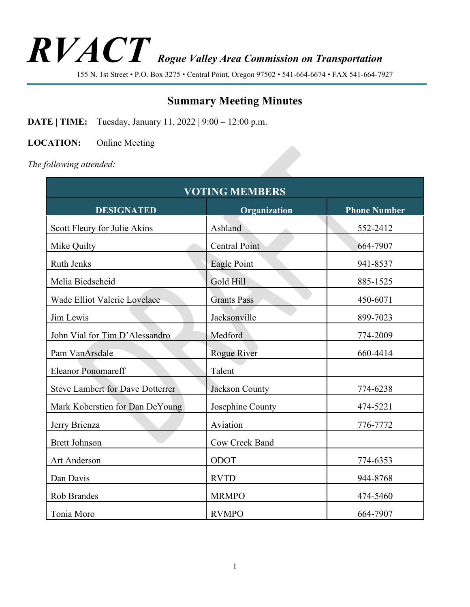# *RVACT Rogue Valley Area Commission on Transportation*

155 N. 1st Street • P.O. Box 3275 • Central Point, Oregon 97502 • 541-664-6674 • FAX 541-664-7927

# **Summary Meeting Minutes**

**DATE** | **TIME:** Tuesday, January 11, 2022 | 9:00 – 12:00 p.m.

**LOCATION:** Online Meeting

*The following attended:*

| <b>VOTING MEMBERS</b>                   |                      |                     |  |
|-----------------------------------------|----------------------|---------------------|--|
| <b>DESIGNATED</b>                       | Organization         | <b>Phone Number</b> |  |
| Scott Fleury for Julie Akins            | Ashland              | 552-2412            |  |
| Mike Quilty                             | <b>Central Point</b> | 664-7907            |  |
| <b>Ruth Jenks</b>                       | Eagle Point          | 941-8537            |  |
| Melia Biedscheid                        | Gold Hill            | 885-1525            |  |
| Wade Elliot Valerie Lovelace            | <b>Grants Pass</b>   | 450-6071            |  |
| Jim Lewis                               | Jacksonville         | 899-7023            |  |
| John Vial for Tim D'Alessandro          | Medford              | 774-2009            |  |
| Pam VanArsdale                          | Rogue River          | 660-4414            |  |
| <b>Eleanor Ponomareff</b>               | Talent               |                     |  |
| <b>Steve Lambert for Dave Dotterrer</b> | Jackson County       | 774-6238            |  |
| Mark Koberstien for Dan DeYoung         | Josephine County     | 474-5221            |  |
| Jerry Brienza                           | Aviation             | 776-7772            |  |
| <b>Brett Johnson</b>                    | Cow Creek Band       |                     |  |
| <b>Art Anderson</b>                     | ODOT                 | 774-6353            |  |
| Dan Davis                               | <b>RVTD</b>          | 944-8768            |  |
| Rob Brandes                             | <b>MRMPO</b>         | 474-5460            |  |
| Tonia Moro                              | <b>RVMPO</b>         | 664-7907            |  |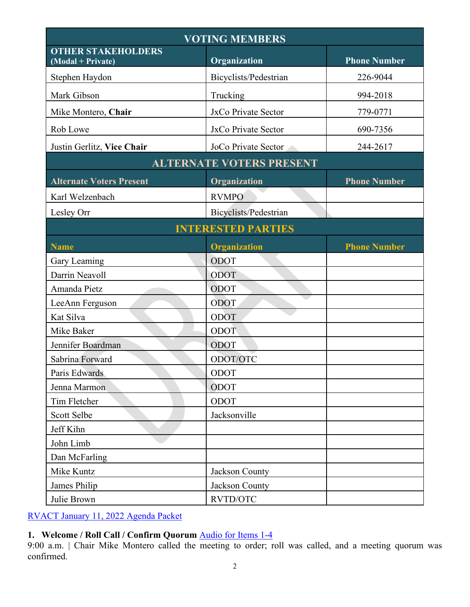| <b>VOTING MEMBERS</b>                          |                       |                     |  |
|------------------------------------------------|-----------------------|---------------------|--|
| <b>OTHER STAKEHOLDERS</b><br>(Modal + Private) | Organization          | <b>Phone Number</b> |  |
| Stephen Haydon                                 | Bicyclists/Pedestrian | 226-9044            |  |
| Mark Gibson                                    | Trucking              | 994-2018            |  |
| Mike Montero, Chair                            | JxCo Private Sector   | 779-0771            |  |
| Rob Lowe                                       | JxCo Private Sector   | 690-7356            |  |
| Justin Gerlitz, Vice Chair                     | JoCo Private Sector   | 244-2617            |  |
| <b>ALTERNATE VOTERS PRESENT</b>                |                       |                     |  |
| <b>Alternate Voters Present</b>                | Organization          | <b>Phone Number</b> |  |
| Karl Welzenbach                                | <b>RVMPO</b>          |                     |  |
| Lesley Orr                                     | Bicyclists/Pedestrian |                     |  |
| <b>INTERESTED PARTIES</b>                      |                       |                     |  |
| <b>Name</b>                                    | <b>Organization</b>   | <b>Phone Number</b> |  |
| Gary Leaming                                   | ODOT                  |                     |  |
| Darrin Neavoll                                 | ODOT                  |                     |  |
| Amanda Pietz                                   | ODOT                  |                     |  |
| LeeAnn Ferguson                                | ODOT                  |                     |  |
| Kat Silva                                      | ODOT                  |                     |  |
| Mike Baker                                     | ODOT                  |                     |  |
| Jennifer Boardman                              | ODOT                  |                     |  |
| Sabrina Forward                                | ODOT/OTC              |                     |  |
| Paris Edwards                                  | ODOT                  |                     |  |
| Jenna Marmon                                   | ODOT                  |                     |  |
| Tim Fletcher                                   | ODOT                  |                     |  |
| Scott Selbe                                    | Jacksonville          |                     |  |
| Jeff Kihn                                      |                       |                     |  |
| John Limb                                      |                       |                     |  |
| Dan McFarling                                  |                       |                     |  |
| Mike Kuntz                                     | Jackson County        |                     |  |
| James Philip                                   | Jackson County        |                     |  |
| Julie Brown                                    | RVTD/OTC              |                     |  |

[RVACT January 11, 2022](https://www.oregon.gov/odot/Get-Involved/ACT/RVACTagenda2022jan11.pdf) Agenda Packet

# **1. Welcome / Roll Call / Confirm Quorum** [Audio for Items 1-4](https://rvmpo.org/wp-content/uploads/2019/09/Jan-11-Pt-1-4.mp3)

9:00 a.m. | Chair Mike Montero called the meeting to order; roll was called, and a meeting quorum was confirmed.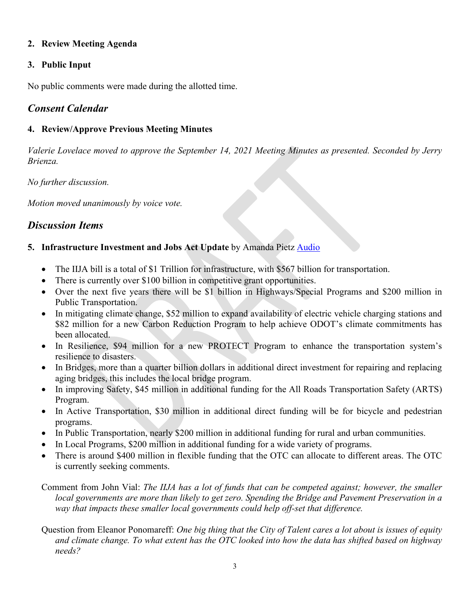#### **2. Review Meeting Agenda**

#### **3. Public Input**

No public comments were made during the allotted time.

# *Consent Calendar*

#### **4. Review/Approve Previous Meeting Minutes**

*Valerie Lovelace moved to approve the September 14, 2021 Meeting Minutes as presented. Seconded by Jerry Brienza.* 

*No further discussion.*

*Motion moved unanimously by voice vote.*

# *Discussion Items*

#### **5. Infrastructure Investment and Jobs Act Update** by Amanda Pietz **[Audio](https://rvmpo.org/wp-content/uploads/2019/09/Jan-11-Pt-5.mp3)**

- The IIJA bill is a total of \$1 Trillion for infrastructure, with \$567 billion for transportation.
- There is currently over \$100 billion in competitive grant opportunities.
- Over the next five years there will be \$1 billion in Highways/Special Programs and \$200 million in Public Transportation.
- In mitigating climate change, \$52 million to expand availability of electric vehicle charging stations and \$82 million for a new Carbon Reduction Program to help achieve ODOT's climate commitments has been allocated.
- In Resilience, \$94 million for a new PROTECT Program to enhance the transportation system's resilience to disasters.
- In Bridges, more than a quarter billion dollars in additional direct investment for repairing and replacing aging bridges, this includes the local bridge program.
- In improving Safety, \$45 million in additional funding for the All Roads Transportation Safety (ARTS) Program.
- In Active Transportation, \$30 million in additional direct funding will be for bicycle and pedestrian programs.
- In Public Transportation, nearly \$200 million in additional funding for rural and urban communities.
- In Local Programs, \$200 million in additional funding for a wide variety of programs.
- There is around \$400 million in flexible funding that the OTC can allocate to different areas. The OTC is currently seeking comments.

Comment from John Vial: *The IIJA has a lot of funds that can be competed against; however, the smaller local governments are more than likely to get zero. Spending the Bridge and Pavement Preservation in a way that impacts these smaller local governments could help off-set that difference.*

Question from Eleanor Ponomareff: *One big thing that the City of Talent cares a lot about is issues of equity and climate change. To what extent has the OTC looked into how the data has shifted based on highway needs?*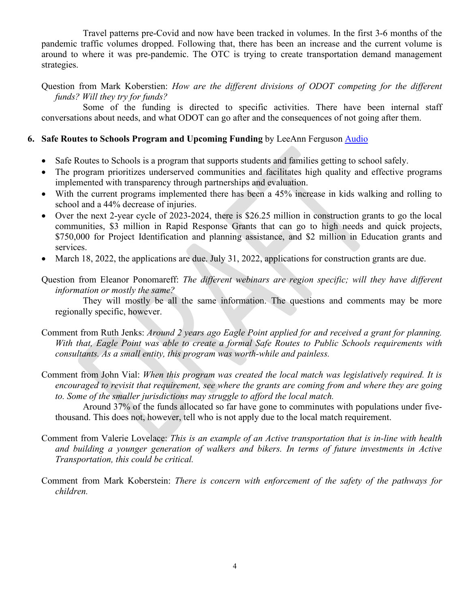Travel patterns pre-Covid and now have been tracked in volumes. In the first 3-6 months of the pandemic traffic volumes dropped. Following that, there has been an increase and the current volume is around to where it was pre-pandemic. The OTC is trying to create transportation demand management strategies.

Question from Mark Koberstien: *How are the different divisions of ODOT competing for the different funds? Will they try for funds?* 

Some of the funding is directed to specific activities. There have been internal staff conversations about needs, and what ODOT can go after and the consequences of not going after them.

#### **6. Safe Routes to Schools Program and Upcoming Funding** by LeeAnn Ferguson [Audio](https://rvmpo.org/wp-content/uploads/2019/09/Jan-11-Pt-6.mp3)

- Safe Routes to Schools is a program that supports students and families getting to school safely.
- The program prioritizes underserved communities and facilitates high quality and effective programs implemented with transparency through partnerships and evaluation.
- With the current programs implemented there has been a 45% increase in kids walking and rolling to school and a 44% decrease of injuries.
- Over the next 2-year cycle of 2023-2024, there is \$26.25 million in construction grants to go the local communities, \$3 million in Rapid Response Grants that can go to high needs and quick projects, \$750,000 for Project Identification and planning assistance, and \$2 million in Education grants and services.
- March 18, 2022, the applications are due. July 31, 2022, applications for construction grants are due.
- Question from Eleanor Ponomareff: *The different webinars are region specific; will they have different information or mostly the same?*

They will mostly be all the same information. The questions and comments may be more regionally specific, however.

- Comment from Ruth Jenks: *Around 2 years ago Eagle Point applied for and received a grant for planning. With that, Eagle Point was able to create a formal Safe Routes to Public Schools requirements with consultants. As a small entity, this program was worth-while and painless.*
- Comment from John Vial: *When this program was created the local match was legislatively required. It is encouraged to revisit that requirement, see where the grants are coming from and where they are going to. Some of the smaller jurisdictions may struggle to afford the local match.*

Around 37% of the funds allocated so far have gone to comminutes with populations under fivethousand. This does not, however, tell who is not apply due to the local match requirement.

- Comment from Valerie Lovelace: *This is an example of an Active transportation that is in-line with health and building a younger generation of walkers and bikers. In terms of future investments in Active Transportation, this could be critical.*
- Comment from Mark Koberstein: *There is concern with enforcement of the safety of the pathways for children.*